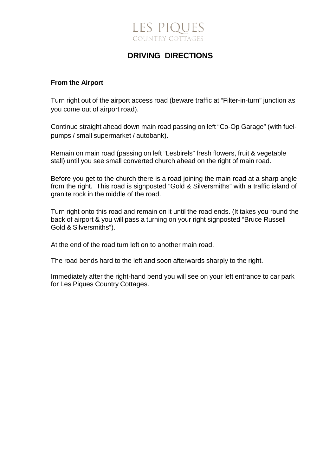## **LES PIQUES COUNTRY COTTAGES**

### **DRIVING DIRECTIONS**

#### **From the Airport**

Turn right out of the airport access road (beware traffic at "Filter-in-turn" junction as you come out of airport road).

Continue straight ahead down main road passing on left "Co-Op Garage" (with fuelpumps / small supermarket / autobank).

Remain on main road (passing on left "Lesbirels" fresh flowers, fruit & vegetable stall) until you see small converted church ahead on the right of main road.

Before you get to the church there is a road joining the main road at a sharp angle from the right. This road is signposted "Gold & Silversmiths" with a traffic island of granite rock in the middle of the road.

Turn right onto this road and remain on it until the road ends. (It takes you round the back of airport & you will pass a turning on your right signposted "Bruce Russell Gold & Silversmiths").

At the end of the road turn left on to another main road.

The road bends hard to the left and soon afterwards sharply to the right.

Immediately after the right-hand bend you will see on your left entrance to car park for Les Piques Country Cottages.